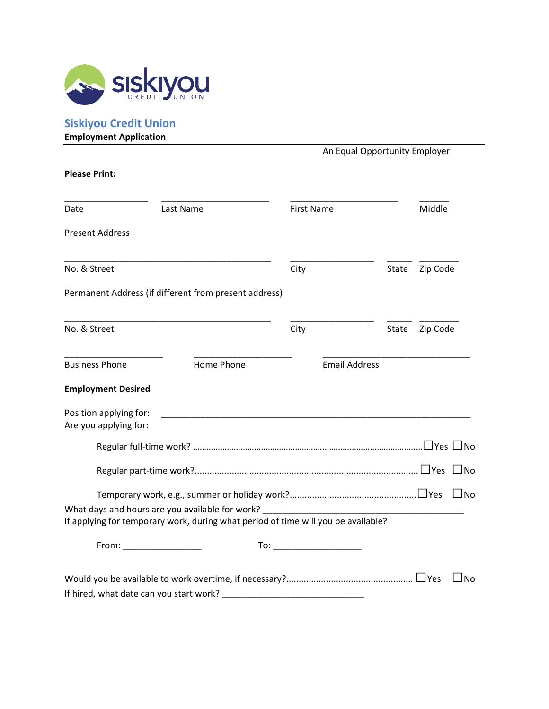

## **Siskiyou Credit Union**

**Employment Application**

|                                                 |                                                                                                                                      |                                | An Equal Opportunity Employer |          |           |
|-------------------------------------------------|--------------------------------------------------------------------------------------------------------------------------------------|--------------------------------|-------------------------------|----------|-----------|
| <b>Please Print:</b>                            |                                                                                                                                      |                                |                               |          |           |
| Date                                            | Last Name                                                                                                                            | <b>First Name</b>              |                               | Middle   |           |
| <b>Present Address</b>                          |                                                                                                                                      |                                |                               |          |           |
| No. & Street                                    | <u> 1980 - Johann Stein, markin fan it ferskearre fan it ferskearre fan it ferskearre fan it ferskearre fan it fer</u>               | City                           | State                         | Zip Code |           |
|                                                 | Permanent Address (if different from present address)                                                                                |                                |                               |          |           |
| No. & Street                                    |                                                                                                                                      | City                           | State                         | Zip Code |           |
| <b>Business Phone</b>                           | Home Phone                                                                                                                           |                                | <b>Email Address</b>          |          |           |
| <b>Employment Desired</b>                       |                                                                                                                                      |                                |                               |          |           |
| Position applying for:<br>Are you applying for: | <u> 1989 - Johann Stoff, amerikansk politiker (d. 1989)</u>                                                                          |                                |                               |          |           |
|                                                 |                                                                                                                                      |                                |                               |          |           |
|                                                 |                                                                                                                                      |                                |                               |          |           |
|                                                 |                                                                                                                                      |                                |                               |          |           |
|                                                 | What days and hours are you available for work?<br>If applying for temporary work, during what period of time will you be available? |                                |                               |          |           |
| From: _____________________                     |                                                                                                                                      | To: __________________________ |                               |          |           |
|                                                 |                                                                                                                                      |                                |                               |          | $\Box$ No |
| If hired, what date can you start work?         |                                                                                                                                      |                                |                               |          |           |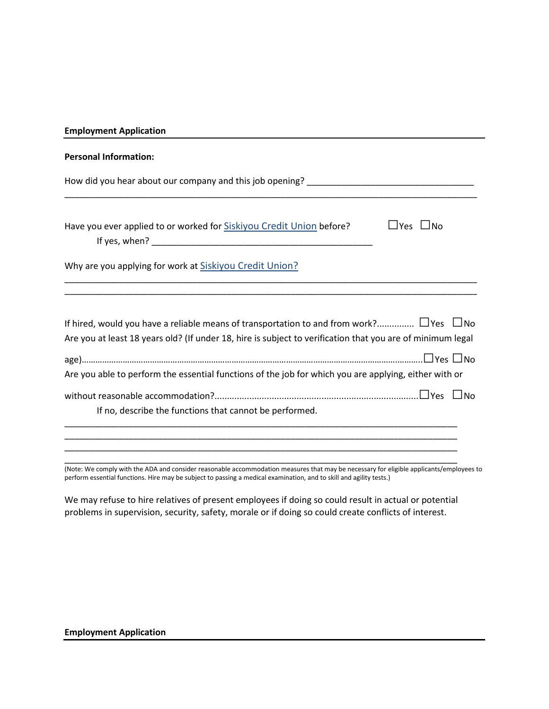| <b>Personal Information:</b>                                                                                                                                                                                     |                      |
|------------------------------------------------------------------------------------------------------------------------------------------------------------------------------------------------------------------|----------------------|
|                                                                                                                                                                                                                  |                      |
| Have you ever applied to or worked for <b>Siskiyou Credit Union</b> before?                                                                                                                                      | $\Box$ Yes $\Box$ No |
| Why are you applying for work at Siskiyou Credit Union?                                                                                                                                                          |                      |
|                                                                                                                                                                                                                  |                      |
| If hired, would you have a reliable means of transportation to and from work? $\Box$ Yes $\Box$ No<br>Are you at least 18 years old? (If under 18, hire is subject to verification that you are of minimum legal |                      |
| Are you able to perform the essential functions of the job for which you are applying, either with or                                                                                                            |                      |
| If no, describe the functions that cannot be performed.                                                                                                                                                          |                      |
|                                                                                                                                                                                                                  |                      |

(Note: We comply with the ADA and consider reasonable accommodation measures that may be necessary for eligible applicants/employees to perform essential functions. Hire may be subject to passing a medical examination, and to skill and agility tests.)

We may refuse to hire relatives of present employees if doing so could result in actual or potential problems in supervision, security, safety, morale or if doing so could create conflicts of interest.

\_\_\_\_\_\_\_\_\_\_\_\_\_\_\_\_\_\_\_\_\_\_\_\_\_\_\_\_\_\_\_\_\_\_\_\_\_\_\_\_\_\_\_\_\_\_\_\_\_\_\_\_\_\_\_\_\_\_\_\_\_\_\_\_\_\_\_\_\_\_\_\_\_\_\_\_\_\_\_\_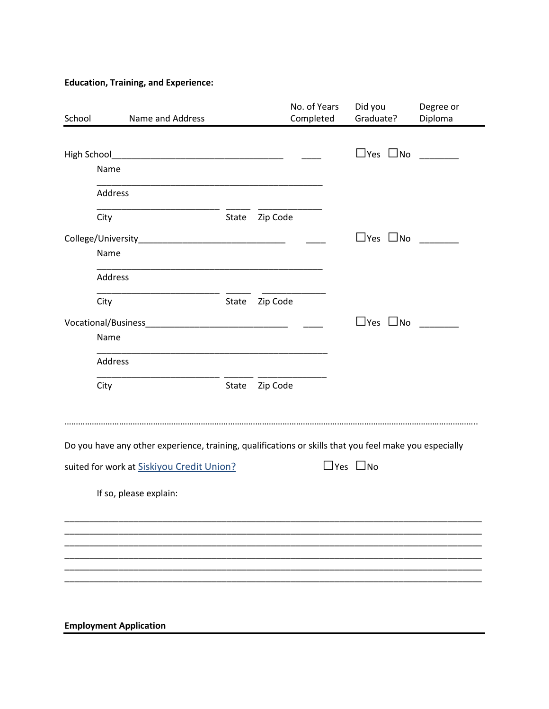**Education, Training, and Experience:** 

| School | Name and Address                                                                                       |                | No. of Years<br>Completed | Did you<br>Graduate?       | Degree or<br>Diploma |
|--------|--------------------------------------------------------------------------------------------------------|----------------|---------------------------|----------------------------|----------------------|
|        |                                                                                                        |                |                           |                            |                      |
|        |                                                                                                        |                |                           | $\square$ Yes $\square$ No |                      |
|        | Name                                                                                                   |                |                           |                            |                      |
|        | Address                                                                                                |                |                           |                            |                      |
|        | City                                                                                                   | State Zip Code |                           |                            |                      |
|        |                                                                                                        |                |                           | $\Box$ Yes $\Box$ No       |                      |
|        | Name                                                                                                   |                |                           |                            |                      |
|        | Address                                                                                                |                |                           |                            |                      |
|        | City                                                                                                   | State Zip Code |                           |                            |                      |
|        |                                                                                                        |                |                           | $\Box$ Yes $\Box$ No       |                      |
|        | Name                                                                                                   |                |                           |                            |                      |
|        | Address                                                                                                |                |                           |                            |                      |
|        | City                                                                                                   | State Zip Code |                           |                            |                      |
|        |                                                                                                        |                |                           |                            |                      |
|        | Do you have any other experience, training, qualifications or skills that you feel make you especially |                |                           |                            |                      |
|        | suited for work at Siskiyou Credit Union?                                                              |                |                           | $\Box$ Yes $\Box$ No       |                      |
|        | If so, please explain:                                                                                 |                |                           |                            |                      |
|        |                                                                                                        |                |                           |                            |                      |
|        |                                                                                                        |                |                           |                            |                      |
|        |                                                                                                        |                |                           |                            |                      |
|        |                                                                                                        |                |                           |                            |                      |
|        |                                                                                                        |                |                           |                            |                      |
|        |                                                                                                        |                |                           |                            |                      |

**Employment Application**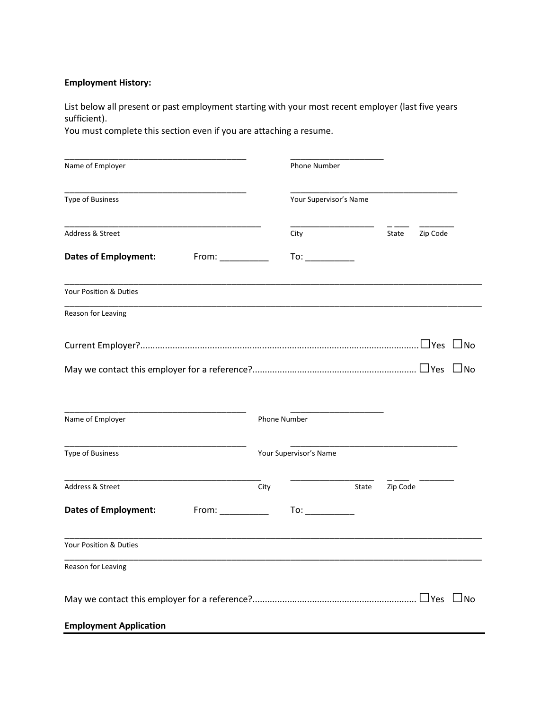## **Employment History:**

List below all present or past employment starting with your most recent employer (last five years sufficient).

You must complete this section even if you are attaching a resume.

| Name of Employer              |              |      | Phone Number           |       |          |          |  |
|-------------------------------|--------------|------|------------------------|-------|----------|----------|--|
| Type of Business              |              |      | Your Supervisor's Name |       |          |          |  |
| Address & Street              |              |      | City                   |       | State    | Zip Code |  |
| <b>Dates of Employment:</b>   | From: $\_\_$ |      | To: ____________       |       |          |          |  |
| Your Position & Duties        |              |      |                        |       |          |          |  |
| Reason for Leaving            |              |      |                        |       |          |          |  |
|                               |              |      |                        |       |          |          |  |
|                               |              |      |                        |       |          |          |  |
|                               |              |      |                        |       |          |          |  |
| Name of Employer              |              |      | Phone Number           |       |          |          |  |
| Type of Business              |              |      | Your Supervisor's Name |       |          |          |  |
| Address & Street              |              | City |                        | State | Zip Code |          |  |
| <b>Dates of Employment:</b>   | From: 1988   |      | $\overline{10}$ :      |       |          |          |  |
| Your Position & Duties        |              |      |                        |       |          |          |  |
| Reason for Leaving            |              |      |                        |       |          |          |  |
|                               |              |      |                        |       |          |          |  |
| <b>Employment Application</b> |              |      |                        |       |          |          |  |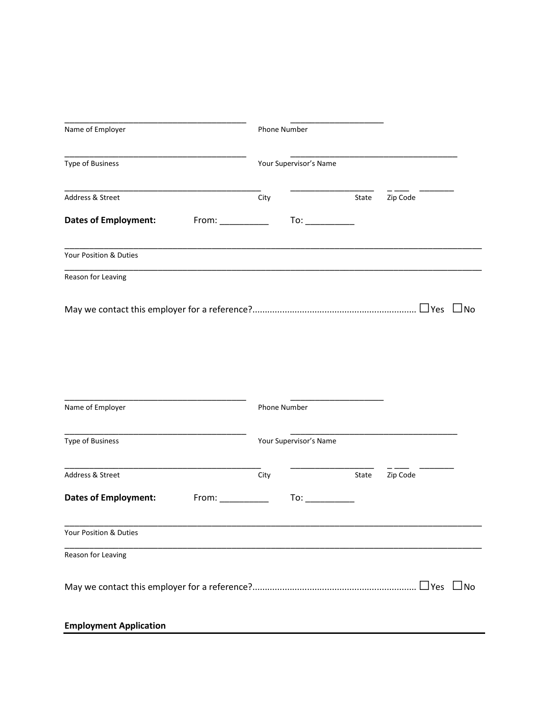| Name of Employer            |       | Phone Number |                        |       |              |    |
|-----------------------------|-------|--------------|------------------------|-------|--------------|----|
| Type of Business            |       |              | Your Supervisor's Name |       |              |    |
| Address & Street            |       | City         |                        | State | Zip Code     |    |
| <b>Dates of Employment:</b> | From: |              | To:                    |       |              |    |
| Your Position & Duties      |       |              |                        |       |              |    |
| Reason for Leaving          |       |              |                        |       |              |    |
|                             |       |              |                        |       | $\sqcup$ Yes | N٥ |

| Name of Employer              |                                                                                                                                                                                                                               | Phone Number           |       |            |     |  |
|-------------------------------|-------------------------------------------------------------------------------------------------------------------------------------------------------------------------------------------------------------------------------|------------------------|-------|------------|-----|--|
| Type of Business              |                                                                                                                                                                                                                               | Your Supervisor's Name |       |            |     |  |
| <b>Address &amp; Street</b>   | City                                                                                                                                                                                                                          |                        | State | Zip Code   |     |  |
| <b>Dates of Employment:</b>   | From: Network of the state of the state of the state of the state of the state of the state of the state of the state of the state of the state of the state of the state of the state of the state of the state of the state | $\overline{10}$ :      |       |            |     |  |
| Your Position & Duties        |                                                                                                                                                                                                                               |                        |       |            |     |  |
| Reason for Leaving            |                                                                                                                                                                                                                               |                        |       |            |     |  |
|                               |                                                                                                                                                                                                                               |                        |       | $\Box$ Yes | ⊥No |  |
| <b>Employment Application</b> |                                                                                                                                                                                                                               |                        |       |            |     |  |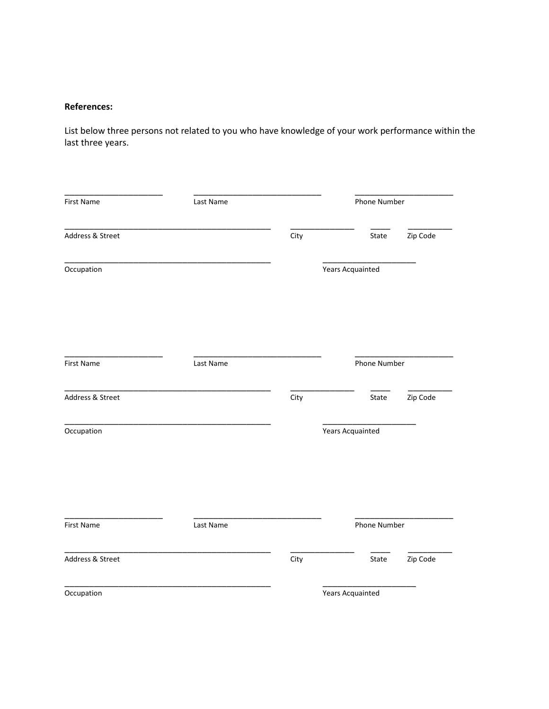## **References:**

List below three persons not related to you who have knowledge of your work performance within the last three years.

| First Name       | Last Name |      | Phone Number            |          |
|------------------|-----------|------|-------------------------|----------|
| Address & Street |           | City | State                   | Zip Code |
| Occupation       |           |      | <b>Years Acquainted</b> |          |
|                  |           |      |                         |          |
| First Name       | Last Name |      | Phone Number            |          |
| Address & Street |           | City | State                   | Zip Code |
| Occupation       |           |      | <b>Years Acquainted</b> |          |
|                  |           |      |                         |          |
| First Name       | Last Name |      | Phone Number            |          |
| Address & Street |           | City | State                   | Zip Code |
| Occupation       |           |      | <b>Years Acquainted</b> |          |